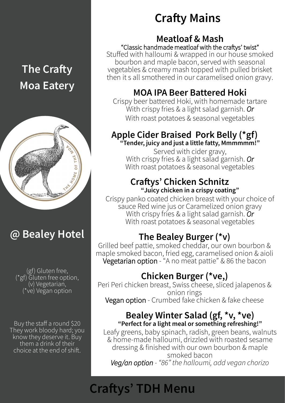# **The Crafty Moa Eatery**



## **@ Bealey Hotel**

(gf) Gluten free, (\*gf) Gluten free option, (v) Vegetarian, (\*ve) Vegan option

Buy the staff a round \$20 They work bloody hard; you know they deserve it. Buy them a drink of their choice at the end of shift.

## **Crafty Mains**

#### **Meatloaf & Mash**

"Classic handmade meatloaf with the craftys' twist" Stuffed with halloumi & wrapped in our house smoked bourbon and maple bacon, served with seasonal vegetables & creamy mash topped with pulled brisket then it s all smothered in our caramelised onion gravy.

### **MOA IPA Beer Battered Hoki**

Crispy beer battered Hoki, with homemade tartare With crispy fries & a light salad garnish. *Or* With roast potatoes & seasonal vegetables

#### **Apple Cider Braised Pork Belly (\*gf) "Tender, juicy and just a little fatty, Mmmmmm!"**

Served with cider gravy, With crispy fries & a light salad garnish. *Or* With roast potatoes & seasonal vegetables

#### **Craftys' Chicken Schnitz "Juicy chicken in a crispy coating"**

Crispy panko coated chicken breast with your choice of sauce Red wine jus or Caramelized onion gravy With crispy fries & a light salad garnish. *Or* With roast potatoes & seasonal vegetables

### **The Bealey Burger (\*v)**

Grilled beef pattie, smoked cheddar, our own bourbon & maple smoked bacon, fried egg, caramelised onion & aioli Vegetarian option - "A no meat pattie" & 86 the bacon

### **Chicken Burger (\*ve,)**

Peri Peri chicken breast, Swiss cheese, sliced jalapenos & onion rings Vegan option - Crumbed fake chicken & fake cheese

#### **Bealey Winter Salad (gf, \*v, \*ve) "Perfect for a light meal or something refreshing!"**

Leafy greens, baby spinach, radish, green beans, walnuts & home-made halloumi, drizzled with roasted sesame dressing & finished with our own bourbon & maple smoked bacon *Veg/an option - "86" the halloumi, add vegan chorizo* 

# **Craftys' TDH Menu**